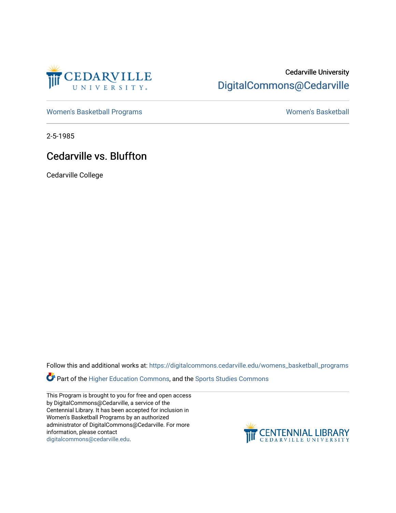

## Cedarville University [DigitalCommons@Cedarville](https://digitalcommons.cedarville.edu/)

[Women's Basketball Programs](https://digitalcommons.cedarville.edu/womens_basketball_programs) North Controller and Momen's Basketball

2-5-1985

### Cedarville vs. Bluffton

Cedarville College

Follow this and additional works at: [https://digitalcommons.cedarville.edu/womens\\_basketball\\_programs](https://digitalcommons.cedarville.edu/womens_basketball_programs?utm_source=digitalcommons.cedarville.edu%2Fwomens_basketball_programs%2F168&utm_medium=PDF&utm_campaign=PDFCoverPages)

Part of the [Higher Education Commons,](http://network.bepress.com/hgg/discipline/1245?utm_source=digitalcommons.cedarville.edu%2Fwomens_basketball_programs%2F168&utm_medium=PDF&utm_campaign=PDFCoverPages) and the Sports Studies Commons

This Program is brought to you for free and open access by DigitalCommons@Cedarville, a service of the Centennial Library. It has been accepted for inclusion in Women's Basketball Programs by an authorized administrator of DigitalCommons@Cedarville. For more information, please contact [digitalcommons@cedarville.edu](mailto:digitalcommons@cedarville.edu).

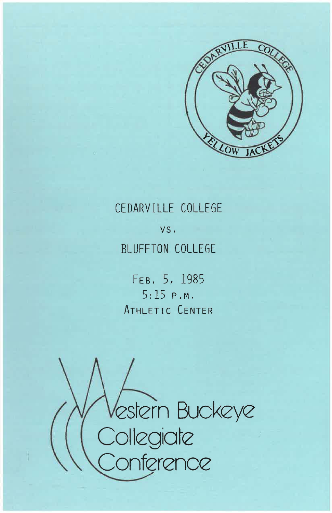

# CEDARVILLE COLLEGE

VS. BLUFFTON COLLEGE

FEB. 5, 1985  $5:15 P.M.$ ATHLETIC CENTER

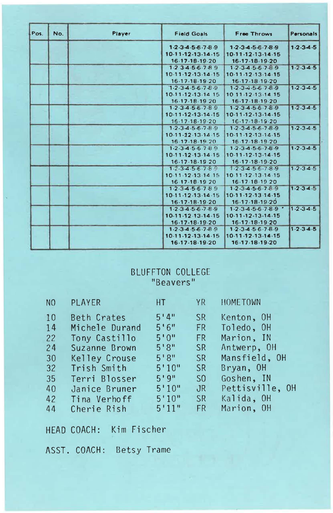| Pos. | No. | Player | <b>Field Goals</b>                  | Free Throws                         | Personals           |
|------|-----|--------|-------------------------------------|-------------------------------------|---------------------|
|      |     |        | $1-2-3-4-5-6-7-8-9$                 | $1-2-3-4-5-6-7-8-9$                 | $1 - 2 - 3 - 4 - 5$ |
|      |     |        | 10-11-12-13-14-15                   | 10-11-12-13-14-15                   |                     |
|      |     |        | 16.17.18.19.20                      | 16-17-18-19-20                      |                     |
|      |     |        | $1.23 - 4.56 - 7.89$                | $1 - 2 - 3 - 4 - 5 - 6 - 7 - 8 - 9$ | $1 - 2 - 3 - 4 - 5$ |
|      |     |        | 10.11.12.13.14.15                   | 10-11-12-13-14-15                   |                     |
|      |     |        | $16 - 17 - 18 - 19 - 20$            | 16-17-18-19-20                      |                     |
|      |     |        | $1.2 - 3.4 - 5.6 - 7.8 - 9$         | $1 - 2 - 3 - 4 - 5 - 6 - 7 - 8 - 9$ | $1 - 2 - 3 - 4 - 5$ |
|      |     |        | 10-11-12-13-14 15                   | 10 11 12 13 14 15                   |                     |
|      |     |        | 16-17-18-19 20                      | 16-17-18-19-20                      |                     |
|      |     |        | $1 - 2 - 3 - 4 - 5 - 6 - 7 - 8 - 9$ | $1 - 2 - 3 - 4 - 5 - 6 - 7 - 8 - 9$ | $12-34-5$           |
|      |     |        | 10-11-12-13-14-15                   | 10-11-12-13-14-15                   |                     |
|      |     |        | 16-17-18-19-20                      | 16-17-18-19-20                      |                     |
|      |     |        | $1.2.3 - 4.5 - 6.7 - 8.9$           | 1.2.34.56.78.9                      | $1.2.3 - 4.5$       |
|      |     |        | $10.11 - 12.13 - 14.15$             | 10-11-12-13-14-15                   |                     |
|      |     |        | 16.17-18-19.20                      | 16.17-18.19.20                      |                     |
|      |     |        | $1.2.3 - 4.5.6789$                  | $1 - 2 - 3 - 4 - 5 - 6 - 7 - 8 - 9$ | $1 - 2 - 3 - 4 - 5$ |
|      |     |        | 10-11-12-13-14-15                   | 10-11-12-13-14-15                   |                     |
|      |     |        | 16-17-18-19-20                      | 16-17-18-19-20                      |                     |
|      |     |        | $1 - 2 - 3 - 4 - 5 - 6 - 7 - 8$     | $1 - 2 - 3 - 4 - 5 - 6 - 7 - 8 - 9$ | $1 - 2 - 3 - 4 - 5$ |
|      |     |        | 10-11-12-13-14 15                   | $10.11 - 12 - 13 - 14 - 15$         |                     |
|      |     |        | 16 17-18-19 20                      | 16-17-18-19 20                      |                     |
|      |     |        | $1.2.3 - 4.5.6.789$                 | 1.2.3.4.5.6.7.8.9                   | $1 - 2 - 3 - 4 - 5$ |
|      |     |        | 10-11-12-13-14-15                   | 10-11-12-13-14-15                   |                     |
|      |     |        | $16-17-18-19-20$                    | 16-17-18-19-20                      |                     |
|      |     |        | $1 - 2 - 3 - 4 - 5 - 6 - 7 - 8 - 9$ | $1-2-3-4-5-6-7-8-9$                 | $1.2 - 3.4 - 5$     |
|      |     |        | 10-11-12-13-14-15                   | 10-11-12-13-14-15                   |                     |
|      |     |        | 16-17-18-19-20                      | 16-17-18-19-20                      |                     |
|      |     |        | $1.2.3 - 4.5 - 6.7 - 8.9$           | $1-2-3-4-5-6-7-8-9$                 | $1 - 2 - 3 - 4 - 5$ |
|      |     |        | $10.11 - 12.13 - 14.15$             | 10-11-12-13-14-15                   |                     |
|      |     |        | 16-17-18-19-20                      | 16-17-18-19-20                      |                     |

## BLUFFTON COLLEGE<br>"Beavers"

| N <sub>0</sub> | PLAYER         | HT I   | YR              | <b>HOMETOWN</b> |
|----------------|----------------|--------|-----------------|-----------------|
| 10             | Beth Crates    | 5'4''  | SR              | Kenton, OH      |
| 14             | Michele Durand | 5'6''  | FR.             | Toledo, OH      |
| 22             | Tony Castillo  | 5'0''  | <b>FR</b>       | Marion, IN      |
| 24             | Suzanne Brown  | 5'8''  | <b>SR</b>       | Antwerp, OH     |
| 30             | Kelley Crouse  | 5'8''  | SR              | Mansfield, OH   |
| 32             | Trish Smith    | 5'10'' | <b>SR</b>       | Bryan, OH       |
| 35             | Terri Blosser  | 5'9''  | SO <sub>2</sub> | Goshen, IN      |
| 40             | Janice Bruner  | 5'10'' | JR              | Pettisville, OH |
| 42             | Tina Verhoff   | 5'10"  | SR              | Kalida, OH      |
| 44             | Cherie Rish    | 5'11"  | <b>FR</b>       | Marion, OH      |
|                |                |        |                 |                 |

HEAD COACH: Kim Fischer

ASST. COACH: Betsy Trame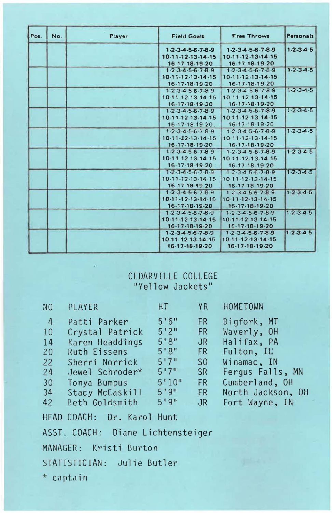| Pos. | No. | Player | <b>Field Goals</b>                            | Free Throws                                         | Personals           |
|------|-----|--------|-----------------------------------------------|-----------------------------------------------------|---------------------|
|      |     |        | $1-2-3-4-5-6-7-8-9$                           | $1-2-3-4-5-6-7-8-9$                                 | $1 - 2 - 3 - 4 - 5$ |
|      |     |        | 10-11-12-13-14-15                             | 10-11-12-13-14-15                                   |                     |
|      |     |        | 16-17-18-19-20                                | 16-17-18-19-20                                      |                     |
|      |     |        | $1 - 2 - 3 - 4 - 5 - 6 - 7 - 8 - 9$           | $1 - 2 - 3 - 4 - 5 - 6 - 7 - 89$                    | $1.2.3 - 4.5$       |
|      |     |        | 10-11-12-13-14-15                             | $10 - 11 - 12 - 13 - 14 - 15$                       |                     |
|      |     |        | 16-17-18-19-20                                | 16-17-18-19-20                                      |                     |
|      |     |        | $1 - 2 \cdot 3 - 4 \cdot 5 - 6 \cdot 7 - 8$ 9 | $1.2.3 - 4.5 - 6.7 - 8.9$                           | $1 - 2 - 3 - 4 - 5$ |
|      |     |        | 10-11-12-13-14-15                             | 10 11 12 13 14 15                                   |                     |
|      |     |        | 16-17-18-19-20                                | 16-17-18-19-20                                      |                     |
|      |     |        | $1 - 2 - 3 - 4 - 5 - 6 - 7 - 8 - 9$           | $1 - 2 - 3 - 4 - 5 - 6 - 7 - 8 - 9$                 | $1 - 2 - 3 - 4 - 5$ |
|      |     |        | 10-11-12-13-14-15                             | 10-11-12-13-14-15                                   |                     |
|      |     |        | 16-17-18-19-20                                | 16-17-18-19-20                                      |                     |
|      |     |        | $1 - 2 - 3 - 4 - 5 - 6 - 7 - 8 - 9$           | $1 - 2 \cdot 3 - 4 \cdot 5 - 6 \cdot 7 - 8 \cdot 9$ | $1 - 2 - 3 - 4 - 5$ |
|      |     |        | 10-11-12-13-14-15                             | 10-11-12-13-14-15                                   |                     |
|      |     |        | 16-17-18-19-20                                | 16-17-18-19-20                                      |                     |
|      |     |        | $1 - 2 - 3 - 4 - 5 - 6 - 7 - 8 - 9$           | $1 - 2 - 3 - 4 - 5 - 6 - 7 - 8 - 9$                 | $1 - 2 - 3 - 4 - 5$ |
|      |     |        | 10-11-12-13-14-15                             | 10-11-12-13-14-15                                   |                     |
|      |     |        | 16-17-18-19-20                                | 16-17-18-19-20                                      |                     |
|      |     |        | $1 - 3 - 4 - 5 - 6 - 7 - 8 - 9$               | $1 - 2 \cdot 3 - 4 \cdot 5 - 6 \cdot 7 - 8 \cdot 9$ | $1 - 2 - 3 - 4 - 5$ |
|      |     |        | 10-11-12-13-14-15                             | 10-11-12-13-14-15                                   |                     |
|      |     |        | $16.17 - 18.19 - 20$                          | 16.17 18 19.20                                      |                     |
|      |     |        | $1 - 2 - 3 - 4 - 5 - 6 - 7 - 8 - 9$           | $1 - 2 - 3 - 4 - 5 - 6 - 7 - 8 - 9$                 | $1 - 2$ $3 - 4 - 5$ |
|      |     |        | 10.11.12.13.14.15                             | 10-11-12-13-14-15                                   |                     |
|      |     |        | 16-17-18-19-20                                | 16-17-18-19-20                                      |                     |
|      |     |        | $1-2-3-4-5-6-7-8-9$                           | $1 - 2 - 3 - 4 - 5 - 6 - 7 - 8 - 9$                 | 1.2.34.5            |
|      |     |        | 10-11-12-13-14-15                             | 10-11-12-13-14-15                                   |                     |
|      |     |        | 16-17-18-19-20                                | 16-17-18-19-20                                      |                     |
|      |     |        | $1 - 2 - 3 - 4 - 5 - 6 - 7 - 8 - 9$           | 1.2.34.56.78.9                                      | $1 - 2 - 3 - 4 - 5$ |
|      |     |        | 10-11-12-13-14-15                             | 10-11-12-13-14-15                                   |                     |
|      |     |        | 16-17-18-19-20                                | 16-17-18-19-20                                      |                     |

# CEDARVILLE COLLEGE<br>"Yellow Jackets"

| N <sub>O</sub>                    | PLAYER                     | HT     | <b>YR</b>       | <b>HOMETOWN</b>   |  |
|-----------------------------------|----------------------------|--------|-----------------|-------------------|--|
| $\overline{4}$                    | Patti Parker               | 5'6''  | <b>FR</b>       | Bigfork, MT       |  |
| 10                                | Crystal Patrick            | 5'2''  | <b>FR</b>       | Waverly, OH       |  |
| 14                                | Karen Headdings            | 5'8''  | JR              | Halifax, PA       |  |
| 20                                | Ruth Eissens               | 5'8''  | <b>FR</b>       | Fulton, IL        |  |
| 22                                | Sherri Norrick             | 5'7''  | 50 <sup>°</sup> | Winamac, IN       |  |
| 24                                | Jewel Schroder*            | 5'7''  | SR              | Fergus Falls, MN  |  |
| 30                                | Tonya Bumpus               | 5'10'' | <b>FR</b>       | Cumberland, OH    |  |
| 34                                | Stacy McCaskill            | 5'9''  | FR              | North Jackson, OH |  |
| 42                                | Beth Goldsmith             | 5'9''  | JR              | Fort Wayne, IN-   |  |
|                                   | HEAD COACH: Dr. Karol Hunt |        |                 |                   |  |
| ASST. COACH: Diane Lichtensteiger |                            |        |                 |                   |  |
| MANAGER: Kristi Burton            |                            |        |                 |                   |  |

STATISTICIAN: Julie Butler

\* captain